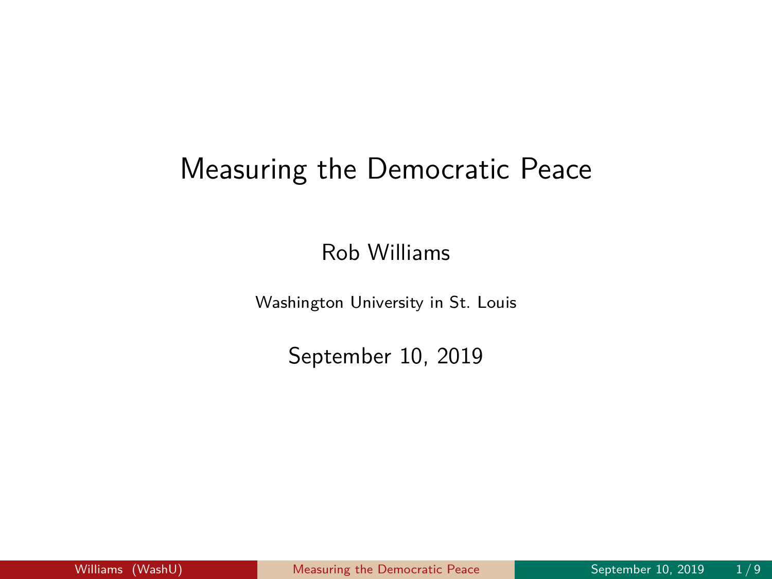## <span id="page-0-0"></span>Measuring the Democratic Peace

Rob Williams

Washington University in St. Louis

September 10, 2019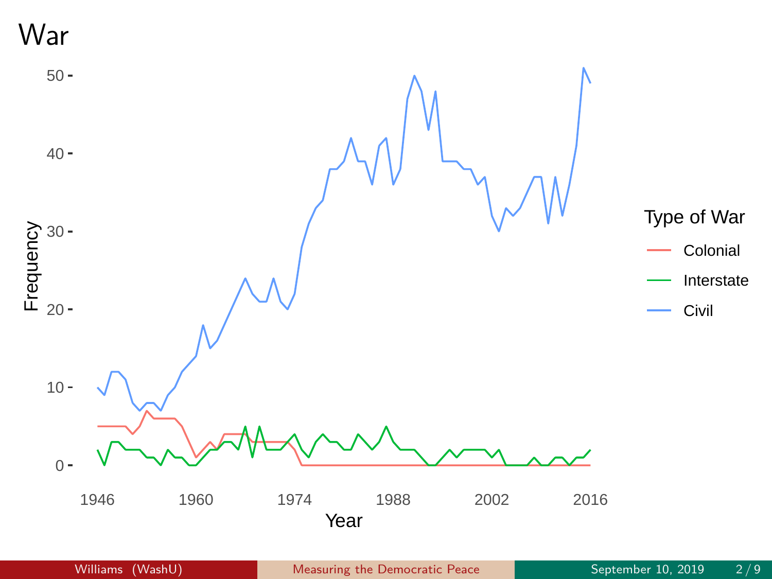War

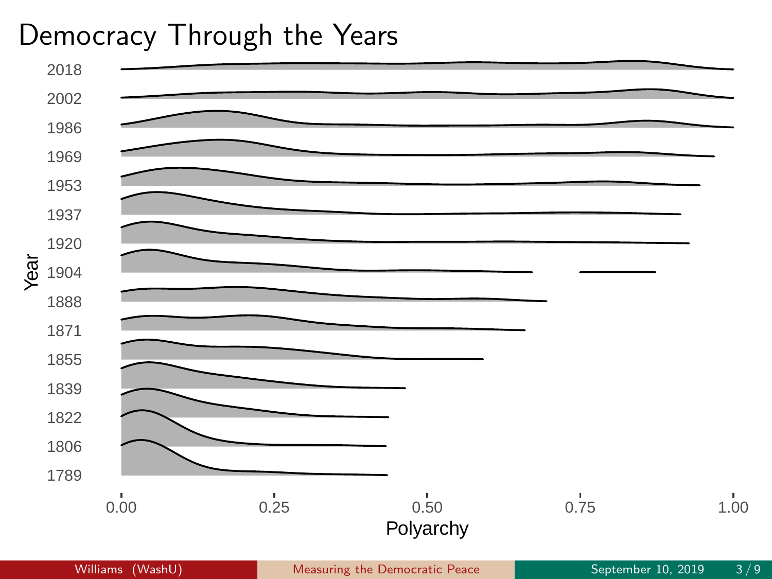## Democracy Through the Years

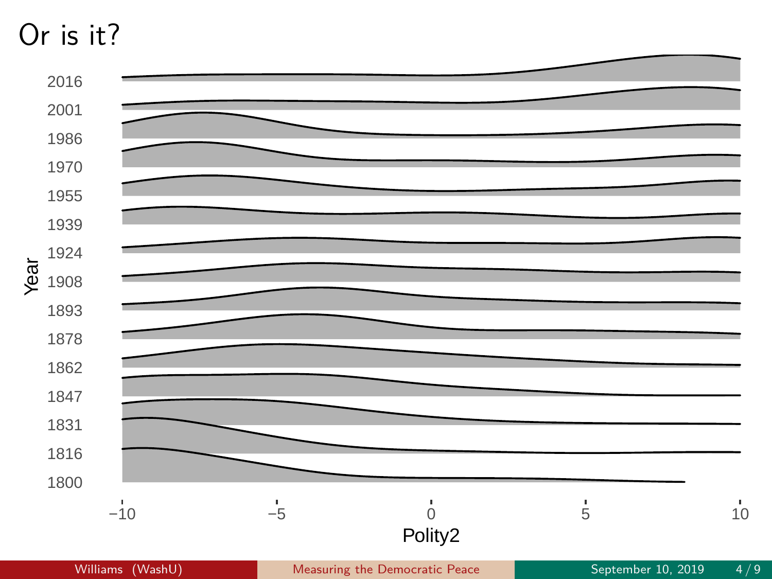## Or is it?

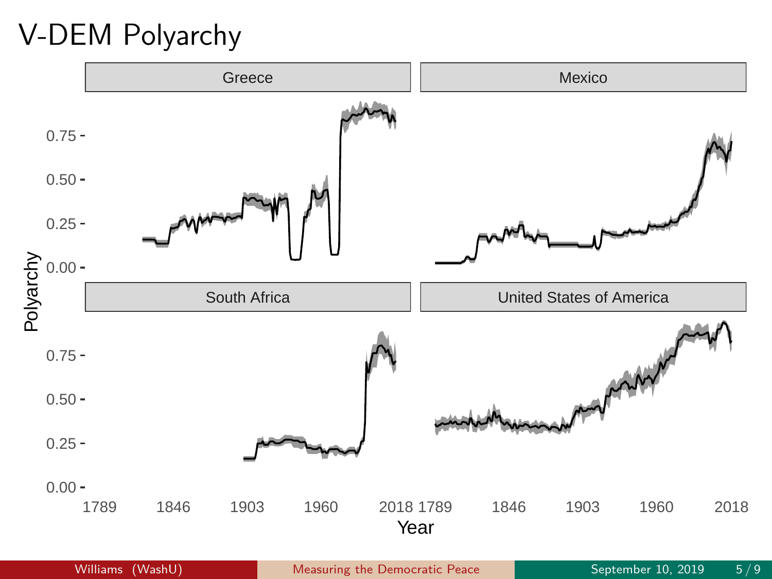V-DEM Polyarchy

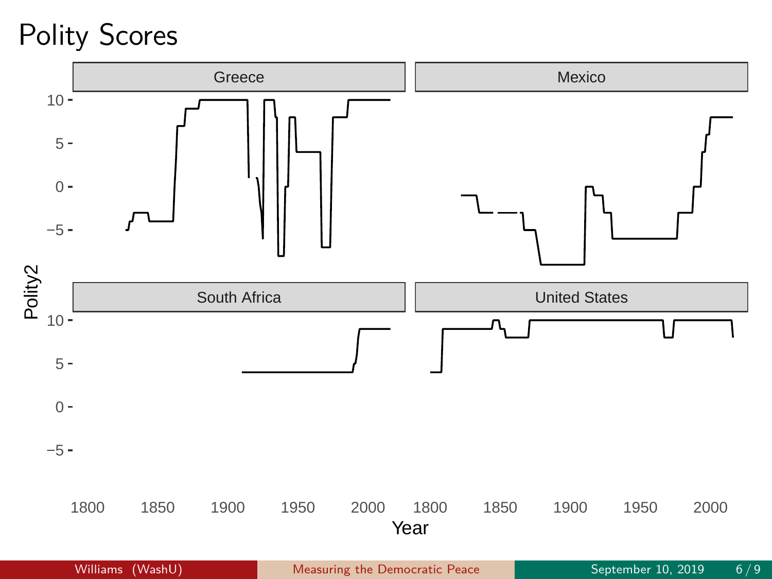Polity Scores

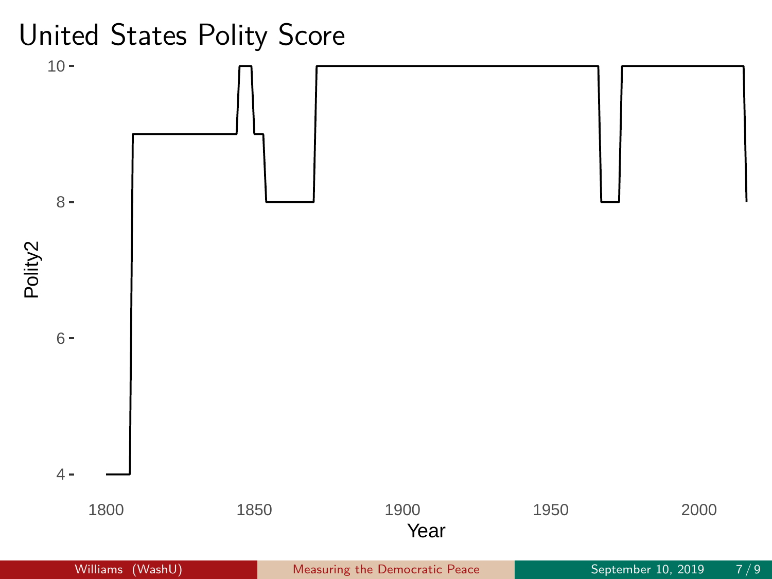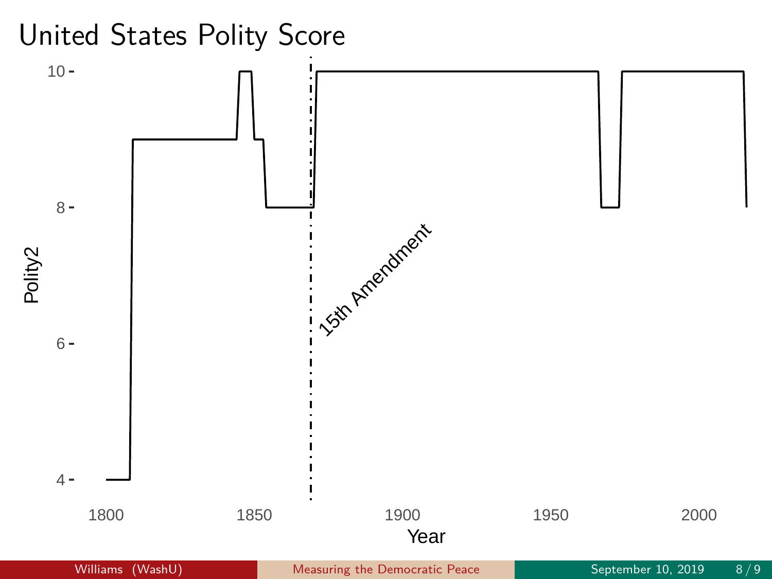